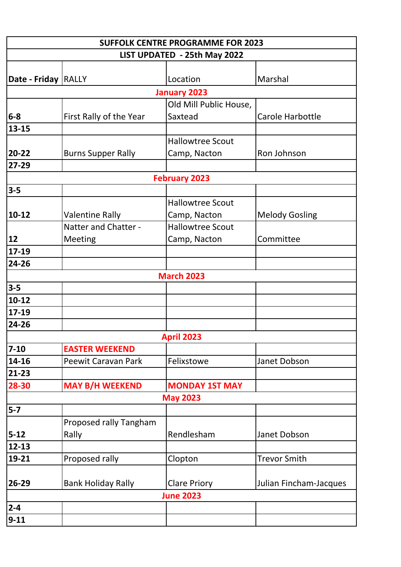| <b>SUFFOLK CENTRE PROGRAMME FOR 2023</b> |                            |                         |                        |  |  |  |
|------------------------------------------|----------------------------|-------------------------|------------------------|--|--|--|
| LIST UPDATED - 25th May 2022             |                            |                         |                        |  |  |  |
|                                          |                            |                         |                        |  |  |  |
| Date - Friday RALLY                      |                            | Location                | Marshal                |  |  |  |
| <b>January 2023</b>                      |                            |                         |                        |  |  |  |
|                                          |                            | Old Mill Public House,  |                        |  |  |  |
| $6 - 8$                                  | First Rally of the Year    | Saxtead                 | Carole Harbottle       |  |  |  |
| 13-15                                    |                            |                         |                        |  |  |  |
|                                          |                            | <b>Hallowtree Scout</b> |                        |  |  |  |
| 20-22                                    | <b>Burns Supper Rally</b>  | Camp, Nacton            | Ron Johnson            |  |  |  |
| 27-29                                    |                            |                         |                        |  |  |  |
|                                          |                            | <b>February 2023</b>    |                        |  |  |  |
| $3-5$                                    |                            |                         |                        |  |  |  |
|                                          |                            | <b>Hallowtree Scout</b> |                        |  |  |  |
| $10-12$                                  | <b>Valentine Rally</b>     | Camp, Nacton            | <b>Melody Gosling</b>  |  |  |  |
|                                          | Natter and Chatter -       | <b>Hallowtree Scout</b> |                        |  |  |  |
| 12                                       | Meeting                    | Camp, Nacton            | Committee              |  |  |  |
| 17-19                                    |                            |                         |                        |  |  |  |
| 24-26                                    |                            |                         |                        |  |  |  |
|                                          |                            | <b>March 2023</b>       |                        |  |  |  |
| $3-5$                                    |                            |                         |                        |  |  |  |
| $10 - 12$                                |                            |                         |                        |  |  |  |
| 17-19                                    |                            |                         |                        |  |  |  |
| 24-26                                    |                            |                         |                        |  |  |  |
|                                          |                            | <b>April 2023</b>       |                        |  |  |  |
| $7-10$                                   | <b>EASTER WEEKEND</b>      |                         |                        |  |  |  |
| 14-16                                    | <b>Peewit Caravan Park</b> | Felixstowe              | Janet Dobson           |  |  |  |
| 21-23                                    |                            |                         |                        |  |  |  |
| 28-30                                    | <b>MAY B/H WEEKEND</b>     | <b>MONDAY 1ST MAY</b>   |                        |  |  |  |
| <b>May 2023</b>                          |                            |                         |                        |  |  |  |
| $5-7$                                    |                            |                         |                        |  |  |  |
|                                          | Proposed rally Tangham     |                         |                        |  |  |  |
| $5 - 12$                                 | Rally                      | Rendlesham              | Janet Dobson           |  |  |  |
| 12-13                                    |                            |                         |                        |  |  |  |
| 19-21                                    | Proposed rally             | Clopton                 | <b>Trevor Smith</b>    |  |  |  |
|                                          |                            |                         |                        |  |  |  |
| 26-29                                    | <b>Bank Holiday Rally</b>  | <b>Clare Priory</b>     | Julian Fincham-Jacques |  |  |  |
| <b>June 2023</b>                         |                            |                         |                        |  |  |  |
| $2 - 4$                                  |                            |                         |                        |  |  |  |
| $9 - 11$                                 |                            |                         |                        |  |  |  |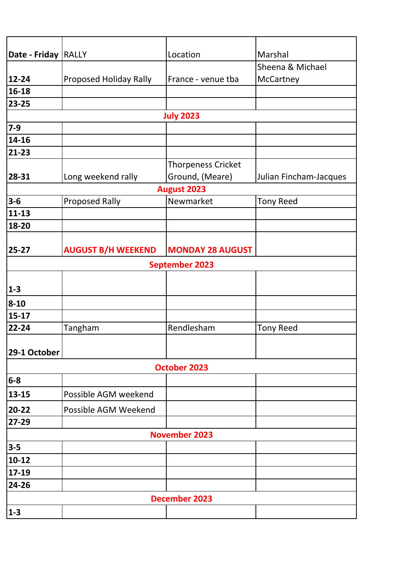| Date - Friday RALLY  |                               | Location                  | Marshal                |  |  |
|----------------------|-------------------------------|---------------------------|------------------------|--|--|
|                      |                               |                           | Sheena & Michael       |  |  |
| 12-24                | <b>Proposed Holiday Rally</b> | France - venue tba        | McCartney              |  |  |
| 16-18                |                               |                           |                        |  |  |
| 23-25                |                               |                           |                        |  |  |
| <b>July 2023</b>     |                               |                           |                        |  |  |
| $7-9$                |                               |                           |                        |  |  |
| 14-16                |                               |                           |                        |  |  |
| 21-23                |                               |                           |                        |  |  |
|                      |                               | <b>Thorpeness Cricket</b> |                        |  |  |
| 28-31                | Long weekend rally            | Ground, (Meare)           | Julian Fincham-Jacques |  |  |
| <b>August 2023</b>   |                               |                           |                        |  |  |
| $3-6$                | <b>Proposed Rally</b>         | Newmarket                 | <b>Tony Reed</b>       |  |  |
| $11 - 13$            |                               |                           |                        |  |  |
| 18-20                |                               |                           |                        |  |  |
|                      |                               |                           |                        |  |  |
| 25-27                | <b>AUGUST B/H WEEKEND</b>     | <b>MONDAY 28 AUGUST</b>   |                        |  |  |
|                      |                               | <b>September 2023</b>     |                        |  |  |
|                      |                               |                           |                        |  |  |
| $1-3$                |                               |                           |                        |  |  |
| $8 - 10$             |                               |                           |                        |  |  |
| $15 - 17$            |                               |                           |                        |  |  |
| 22-24                | Tangham                       | Rendlesham                | <b>Tony Reed</b>       |  |  |
|                      |                               |                           |                        |  |  |
| 29-1 October         |                               |                           |                        |  |  |
| <b>October 2023</b>  |                               |                           |                        |  |  |
| $6-8$                |                               |                           |                        |  |  |
| 13-15                | Possible AGM weekend          |                           |                        |  |  |
| 20-22                | Possible AGM Weekend          |                           |                        |  |  |
| 27-29                |                               |                           |                        |  |  |
| <b>November 2023</b> |                               |                           |                        |  |  |
| $3-5$                |                               |                           |                        |  |  |
| $10 - 12$            |                               |                           |                        |  |  |
| 17-19                |                               |                           |                        |  |  |
| 24-26                |                               |                           |                        |  |  |
| <b>December 2023</b> |                               |                           |                        |  |  |
| $1 - 3$              |                               |                           |                        |  |  |
|                      |                               |                           |                        |  |  |